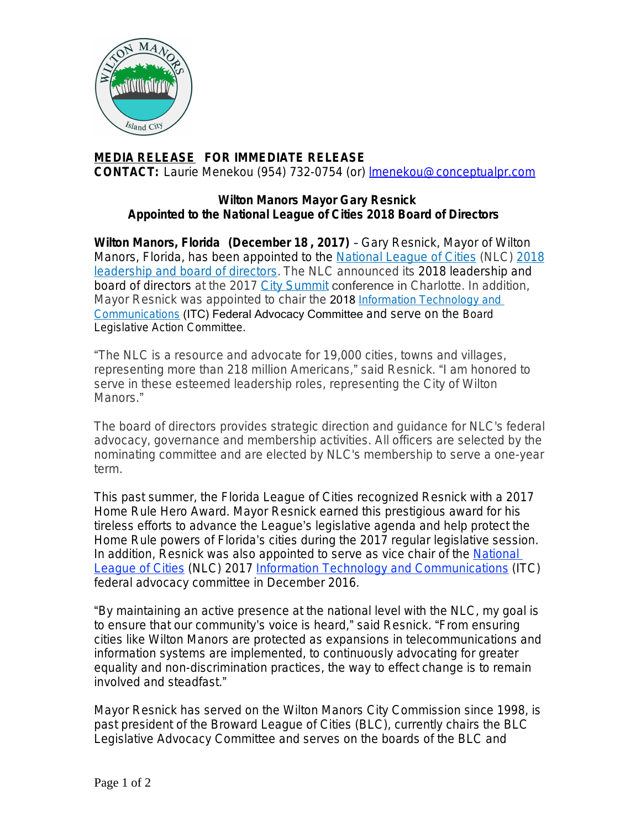

## **MEDIA RELEASE FOR IMMEDIATE RELEASE CONTACT:** Laurie Menekou (954) 732-0754 (or) [lmenekou@conceptualpr.com](mailto:lmenekou@conceptualpr.com)

## **Wilton Manors Mayor Gary Resnick Appointed to the National League of Cities 2018 Board of Directors**

**Wilton Manors, Florida (December 18 , 2017)** – Gary Resnick, Mayor of Wilton Manors, Florida, has been appointed to the [National League of Cities](http://www.nlc.org/) (NLC) [2018](http://nlc.org/article/national-league-of-cities-announces-2018-leadership-and-board-of-directors) leadership and board of directors. The NLC announced its 2018 leadership and board of directors at the 2017 [City Summit](http://citysummit.nlc.org/) conference in Charlotte. In addition, Mayor Resnick was appointed to chair the 2018 *[Information Technology and](http://www.nlc.org/influence-federal-policy/policy-committees/information-technology-and-communications)  Communications* (ITC) Federal Advocacy Committee and serve on the Board Legislative Action Committee.

"The NLC is a resource and advocate for 19,000 cities, towns and villages, representing more than 218 million Americans," said Resnick. "I am honored to serve in these esteemed leadership roles, representing the City of Wilton Manors."

The board of directors provides strategic direction and guidance for NLC's federal advocacy, governance and membership activities. All officers are selected by the nominating committee and are elected by NLC's membership to serve a one-year term.

This past summer, the Florida League of Cities recognized Resnick with a 2017 Home Rule Hero Award. Mayor Resnick earned this prestigious award for his tireless efforts to advance the League's legislative agenda and help protect the Home Rule powers of Florida's cities during the 2017 regular legislative session. In addition, Resnick was also appointed to serve as vice chair of the [National](http://www.nlc.org/)  League of Cities (NLC) 2017 [Information Technology and Communications](http://www.nlc.org/influence-federal-policy/policy-committees/information-technology-and-communications) (ITC) federal advocacy committee in December 2016.

"By maintaining an active presence at the national level with the NLC, my goal is to ensure that our community's voice is heard," said Resnick. "From ensuring cities like Wilton Manors are protected as expansions in telecommunications and information systems are implemented, to continuously advocating for greater equality and non-discrimination practices, the way to effect change is to remain involved and steadfast."

Mayor Resnick has served on the Wilton Manors City Commission since 1998, is past president of the Broward League of Cities (BLC), currently chairs the BLC Legislative Advocacy Committee and serves on the boards of the BLC and